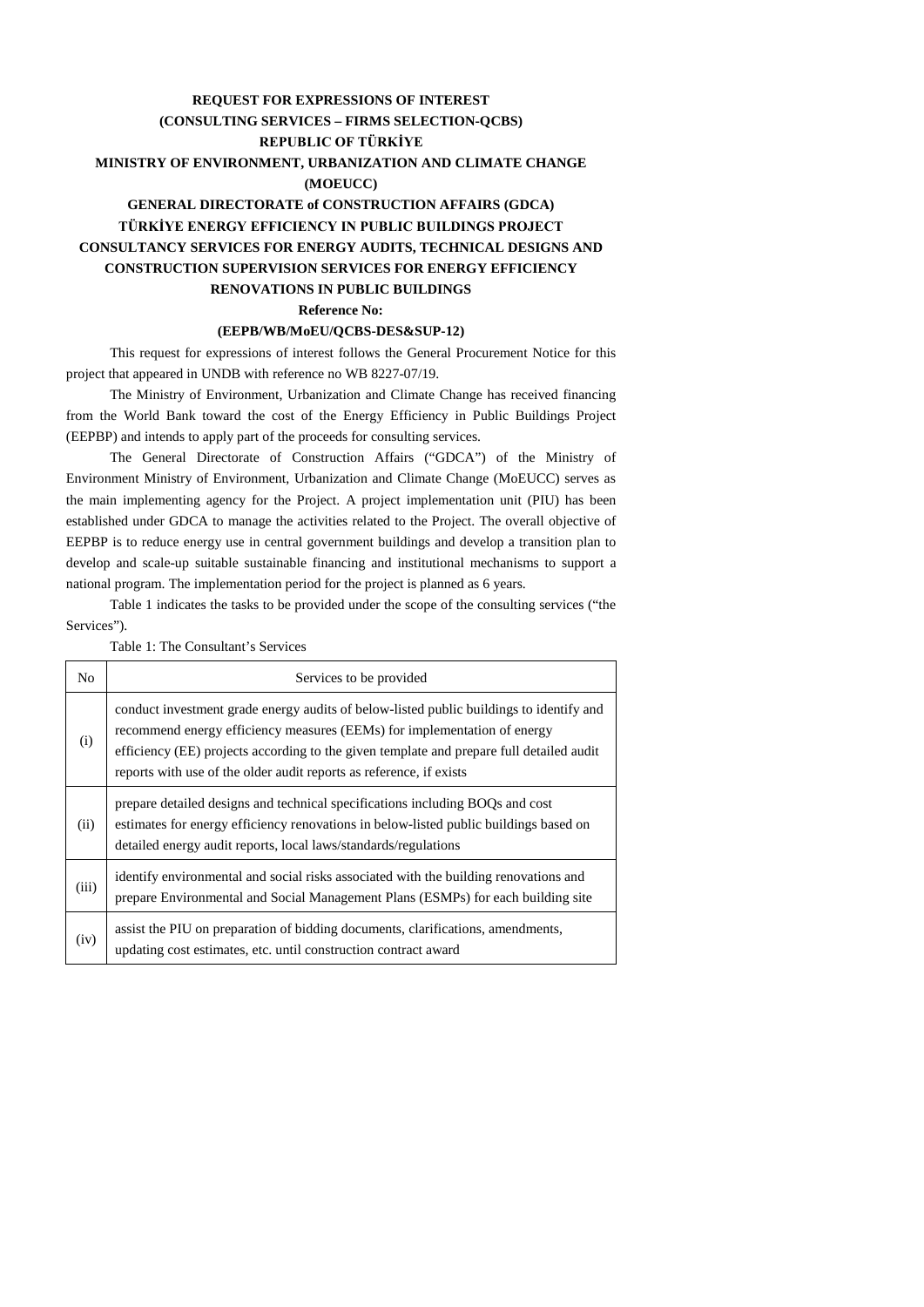## **REQUEST FOR EXPRESSIONS OF INTEREST (CONSULTING SERVICES – FIRMS SELECTION-QCBS) REPUBLIC OF TÜRKİYE MINISTRY OF ENVIRONMENT, URBANIZATION AND CLIMATE CHANGE (MOEUCC) GENERAL DIRECTORATE of CONSTRUCTION AFFAIRS (GDCA) TÜRKİYE ENERGY EFFICIENCY IN PUBLIC BUILDINGS PROJECT**

## **CONSULTANCY SERVICES FOR ENERGY AUDITS, TECHNICAL DESIGNS AND CONSTRUCTION SUPERVISION SERVICES FOR ENERGY EFFICIENCY RENOVATIONS IN PUBLIC BUILDINGS**

**Reference No:**

## **(EEPB/WB/MoEU/QCBS-DES&SUP-12)**

This request for expressions of interest follows the General Procurement Notice for this project that appeared in UNDB with reference no WB 8227-07/19.

The Ministry of Environment, Urbanization and Climate Change has received financing from the World Bank toward the cost of the Energy Efficiency in Public Buildings Project (EEPBP) and intends to apply part of the proceeds for consulting services.

The General Directorate of Construction Affairs ("GDCA") of the Ministry of Environment Ministry of Environment, Urbanization and Climate Change (MoEUCC) serves as the main implementing agency for the Project. A project implementation unit (PIU) has been established under GDCA to manage the activities related to the Project. The overall objective of EEPBP is to reduce energy use in central government buildings and develop a transition plan to develop and scale-up suitable sustainable financing and institutional mechanisms to support a national program. The implementation period for the project is planned as 6 years.

Table 1 indicates the tasks to be provided under the scope of the consulting services ("the Services").

| No    | Services to be provided                                                                                                                                                                                                                                                                                                                |  |  |  |  |
|-------|----------------------------------------------------------------------------------------------------------------------------------------------------------------------------------------------------------------------------------------------------------------------------------------------------------------------------------------|--|--|--|--|
| (i)   | conduct investment grade energy audits of below-listed public buildings to identify and<br>recommend energy efficiency measures (EEMs) for implementation of energy<br>efficiency (EE) projects according to the given template and prepare full detailed audit<br>reports with use of the older audit reports as reference, if exists |  |  |  |  |
| (ii)  | prepare detailed designs and technical specifications including BOQs and cost<br>estimates for energy efficiency renovations in below-listed public buildings based on<br>detailed energy audit reports, local laws/standards/regulations                                                                                              |  |  |  |  |
| (iii) | identify environmental and social risks associated with the building renovations and<br>prepare Environmental and Social Management Plans (ESMPs) for each building site                                                                                                                                                               |  |  |  |  |
| (iv)  | assist the PIU on preparation of bidding documents, clarifications, amendments,<br>updating cost estimates, etc. until construction contract award                                                                                                                                                                                     |  |  |  |  |

Table 1: The Consultant's Services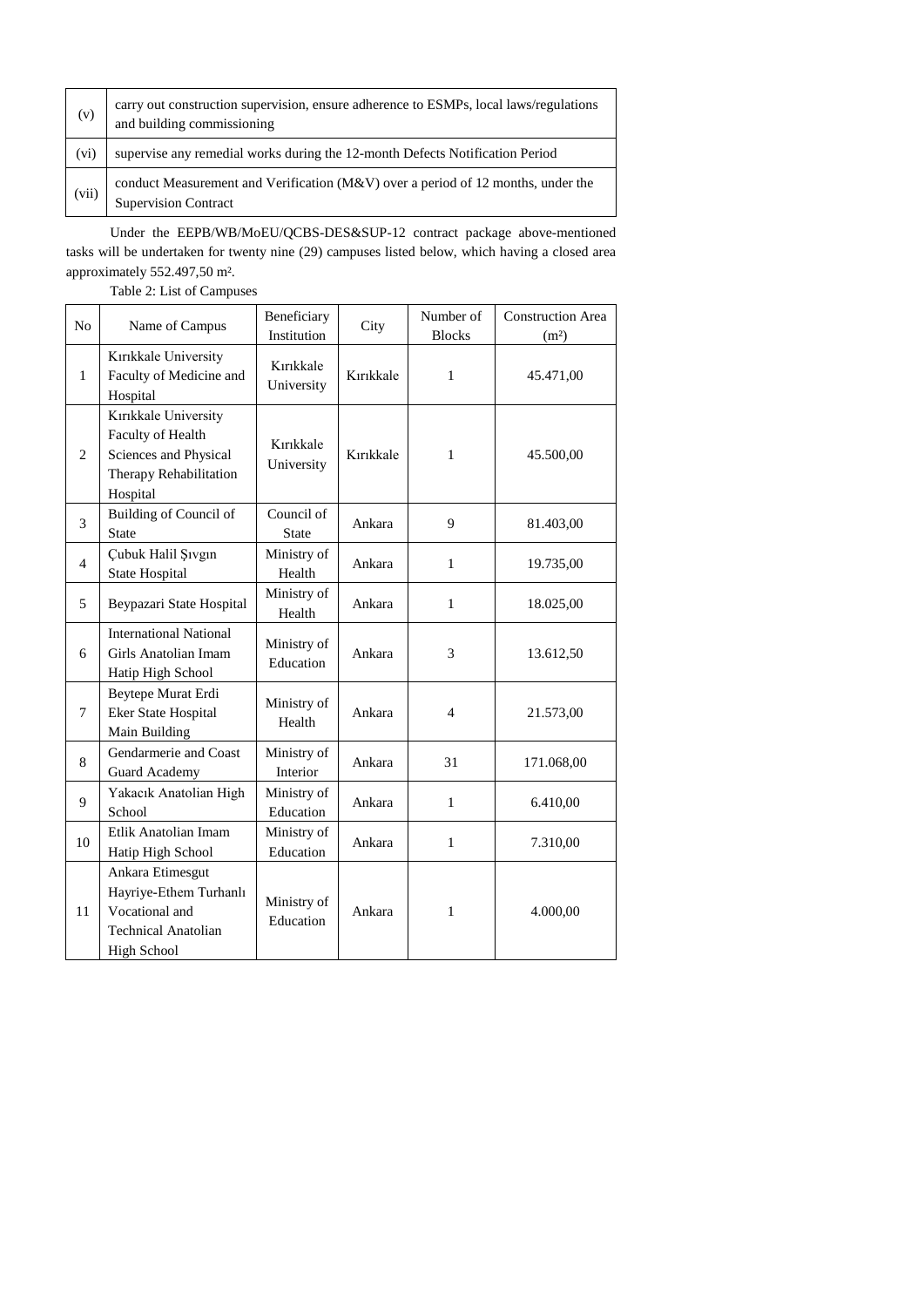| (v)   | carry out construction supervision, ensure adherence to ESMPs, local laws/regulations<br>and building commissioning |
|-------|---------------------------------------------------------------------------------------------------------------------|
| (vi)  | supervise any remedial works during the 12-month Defects Notification Period                                        |
| (vii) | conduct Measurement and Verification ( $M&V$ ) over a period of 12 months, under the<br><b>Supervision Contract</b> |

Under the EEPB/WB/MoEU/QCBS-DES&SUP-12 contract package above-mentioned tasks will be undertaken for twenty nine (29) campuses listed below, which having a closed area approximately 552.497,50 m².

Table 2: List of Campuses

| No             |                                                                                                           | Beneficiary                |           | Number of      | <b>Construction Area</b> |
|----------------|-----------------------------------------------------------------------------------------------------------|----------------------------|-----------|----------------|--------------------------|
|                | Name of Campus                                                                                            | Institution                | City      | <b>Blocks</b>  | (m <sup>2</sup> )        |
| $\mathbf{1}$   | Kırıkkale University<br>Faculty of Medicine and<br>Hospital                                               | Kırıkkale<br>University    | Kırıkkale | $\mathbf{1}$   | 45.471,00                |
| $\overline{2}$ | Kırıkkale University<br>Faculty of Health<br>Sciences and Physical<br>Therapy Rehabilitation<br>Hospital  | Kırıkkale<br>University    | Kırıkkale | 1              | 45.500,00                |
| 3              | Building of Council of<br><b>State</b>                                                                    | Council of<br><b>State</b> | Ankara    | 9              | 81.403,00                |
| $\overline{4}$ | Çubuk Halil Şıvgın<br><b>State Hospital</b>                                                               | Ministry of<br>Health      | Ankara    | $\mathbf{1}$   | 19.735,00                |
| 5              | Beypazari State Hospital                                                                                  | Ministry of<br>Health      | Ankara    | $\mathbf{1}$   | 18.025,00                |
| 6              | <b>International National</b><br>Girls Anatolian Imam<br>Hatip High School                                | Ministry of<br>Education   | Ankara    | 3              | 13.612,50                |
| $\tau$         | Beytepe Murat Erdi<br>Eker State Hospital<br>Main Building                                                | Ministry of<br>Health      | Ankara    | $\overline{4}$ | 21.573,00                |
| 8              | Gendarmerie and Coast<br>Guard Academy                                                                    | Ministry of<br>Interior    | Ankara    | 31             | 171.068,00               |
| 9              | Yakacık Anatolian High<br>School                                                                          | Ministry of<br>Education   | Ankara    | $\mathbf{1}$   | 6.410,00                 |
| 10             | Etlik Anatolian Imam<br>Hatip High School                                                                 | Ministry of<br>Education   | Ankara    | $\mathbf{1}$   | 7.310,00                 |
| 11             | Ankara Etimesgut<br>Hayriye-Ethem Turhanlı<br>Vocational and<br><b>Technical Anatolian</b><br>High School | Ministry of<br>Education   | Ankara    | 1              | 4.000,00                 |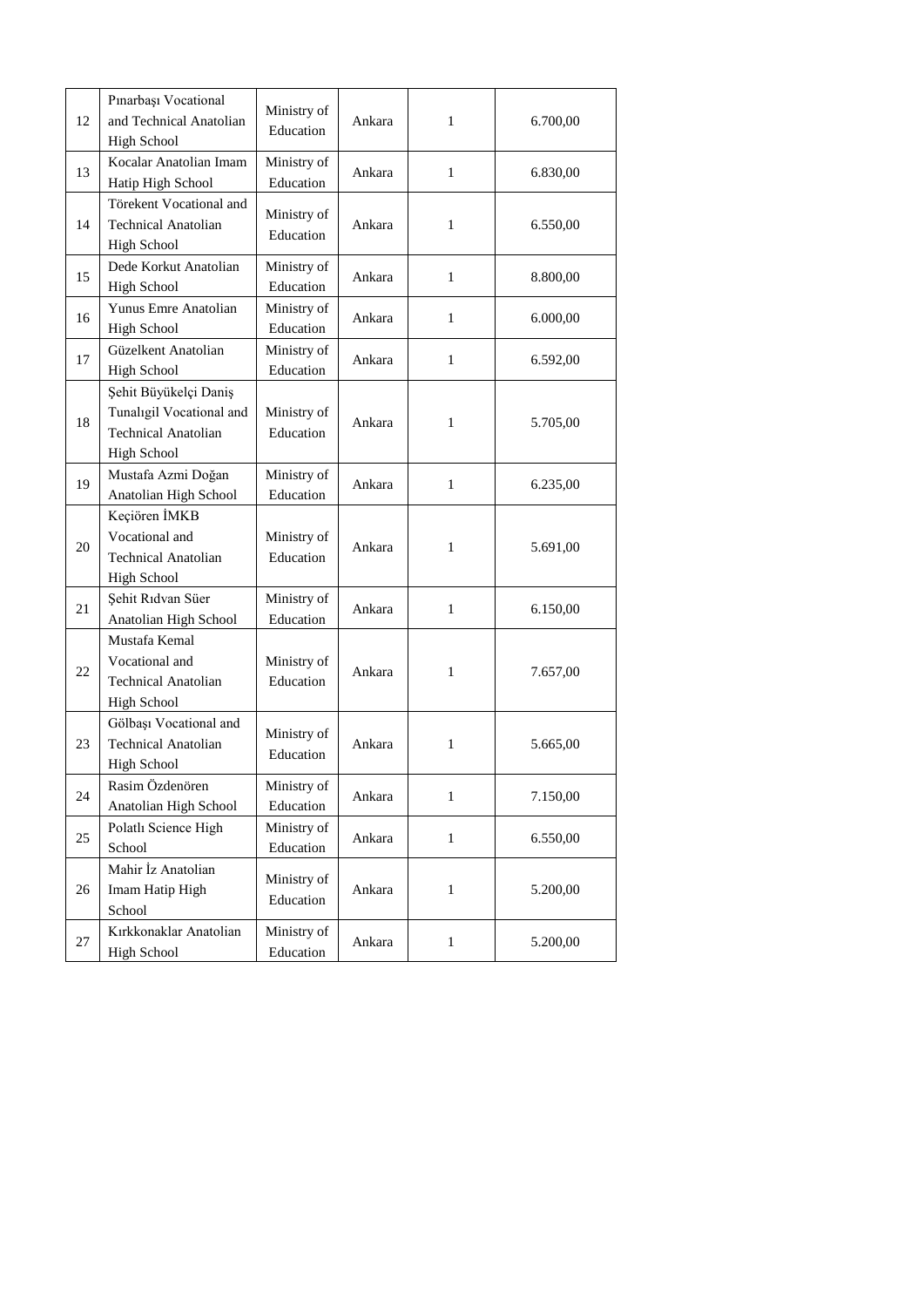| 12     | Pınarbaşı Vocational<br>and Technical Anatolian<br><b>High School</b>                                 | Ministry of<br>Education | Ankara | 1            | 6.700,00 |
|--------|-------------------------------------------------------------------------------------------------------|--------------------------|--------|--------------|----------|
| 13     | Kocalar Anatolian Imam<br>Hatip High School                                                           | Ministry of<br>Education | Ankara | $\mathbf{1}$ | 6.830,00 |
| 14     | Törekent Vocational and<br><b>Technical Anatolian</b><br>High School                                  | Ministry of<br>Education | Ankara | $\mathbf{1}$ | 6.550,00 |
| 15     | Dede Korkut Anatolian<br>High School                                                                  | Ministry of<br>Education | Ankara | 1            | 8.800,00 |
| 16     | Yunus Emre Anatolian<br><b>High School</b>                                                            | Ministry of<br>Education | Ankara | $\mathbf{1}$ | 6.000,00 |
| 17     | Güzelkent Anatolian<br><b>High School</b>                                                             | Ministry of<br>Education | Ankara | $\mathbf{1}$ | 6.592,00 |
| 18     | Şehit Büyükelçi Daniş<br>Tunaligil Vocational and<br><b>Technical Anatolian</b><br><b>High School</b> | Ministry of<br>Education | Ankara | 1            | 5.705,00 |
| 19     | Mustafa Azmi Doğan<br>Anatolian High School                                                           | Ministry of<br>Education | Ankara | $\mathbf{1}$ | 6.235,00 |
| $20\,$ | Keçiören İMKB<br>Vocational and<br><b>Technical Anatolian</b><br><b>High School</b>                   | Ministry of<br>Education | Ankara | 1            | 5.691,00 |
| 21     | Şehit Rıdvan Süer<br>Anatolian High School                                                            | Ministry of<br>Education | Ankara | $\mathbf{1}$ | 6.150,00 |
| 22     | Mustafa Kemal<br>Vocational and<br><b>Technical Anatolian</b><br><b>High School</b>                   | Ministry of<br>Education | Ankara | 1            | 7.657,00 |
| 23     | Gölbaşı Vocational and<br><b>Technical Anatolian</b><br><b>High School</b>                            | Ministry of<br>Education | Ankara | 1            | 5.665,00 |
| 24     | Rasim Özdenören<br>Anatolian High School                                                              | Ministry of<br>Education | Ankara | $\mathbf{1}$ | 7.150,00 |
| 25     | Polatlı Science High<br>School                                                                        | Ministry of<br>Education | Ankara | $\mathbf{1}$ | 6.550,00 |
| 26     | Mahir İz Anatolian<br>Imam Hatip High<br>School                                                       | Ministry of<br>Education | Ankara | $\mathbf{1}$ | 5.200,00 |
| 27     | Kırkkonaklar Anatolian<br><b>High School</b>                                                          | Ministry of<br>Education | Ankara | $\mathbf{1}$ | 5.200,00 |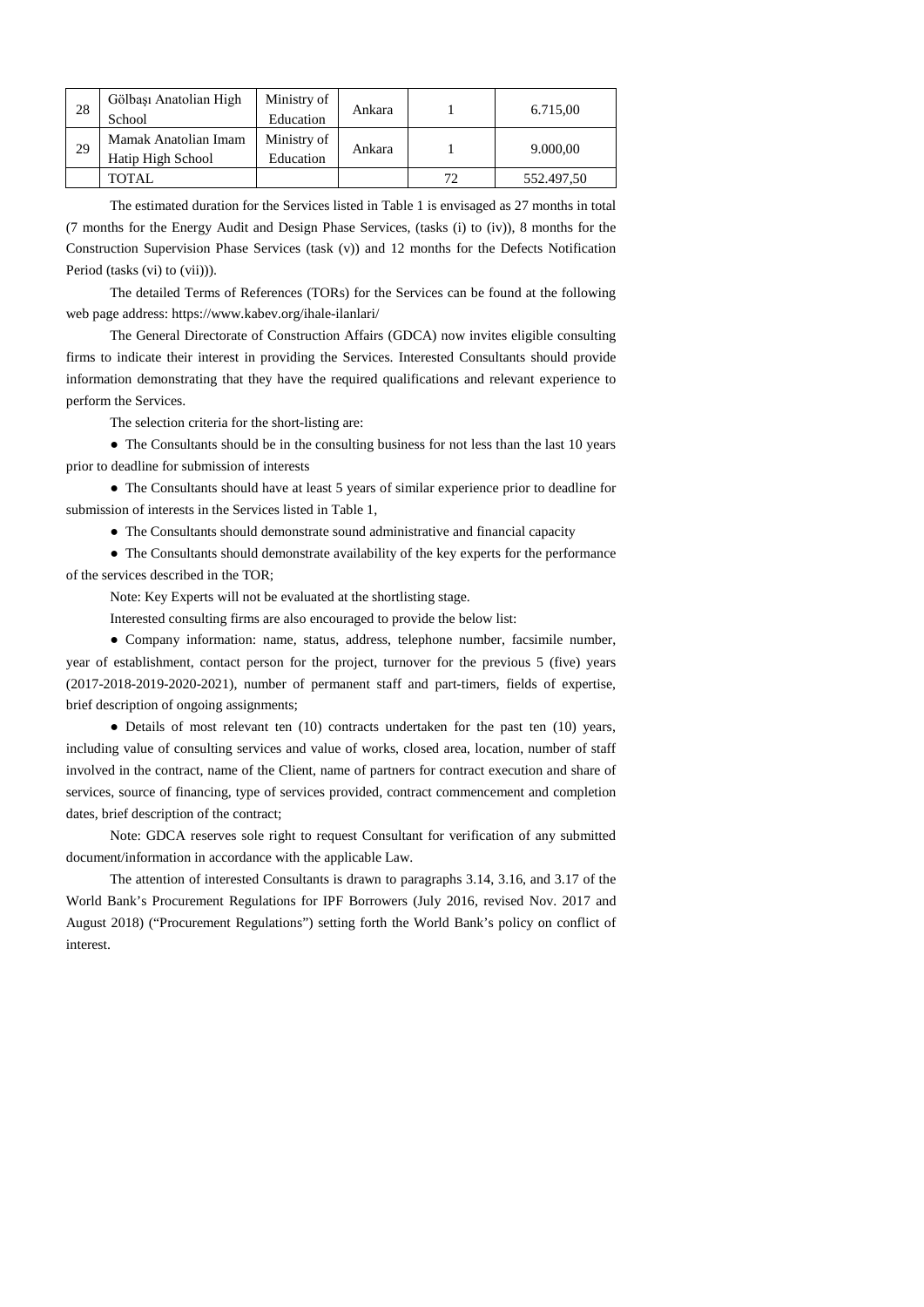| 28 | Gölbaşı Anatolian High | Ministry of | Ankara |    | 6.715,00   |
|----|------------------------|-------------|--------|----|------------|
|    | School                 | Education   |        |    |            |
| 29 | Mamak Anatolian Imam   | Ministry of | Ankara |    | 9.000,00   |
|    | Hatip High School      | Education   |        |    |            |
|    | TOTAL                  |             |        | 72 | 552.497,50 |

The estimated duration for the Services listed in Table 1 is envisaged as 27 months in total (7 months for the Energy Audit and Design Phase Services, (tasks (i) to (iv)), 8 months for the Construction Supervision Phase Services (task (v)) and 12 months for the Defects Notification Period (tasks (vi) to (vii))).

The detailed Terms of References (TORs) for the Services can be found at the following web page address: https://www.kabev.org/ihale-ilanlari/

The General Directorate of Construction Affairs (GDCA) now invites eligible consulting firms to indicate their interest in providing the Services. Interested Consultants should provide information demonstrating that they have the required qualifications and relevant experience to perform the Services.

The selection criteria for the short-listing are:

• The Consultants should be in the consulting business for not less than the last 10 years prior to deadline for submission of interests

● The Consultants should have at least 5 years of similar experience prior to deadline for submission of interests in the Services listed in Table 1,

● The Consultants should demonstrate sound administrative and financial capacity

● The Consultants should demonstrate availability of the key experts for the performance of the services described in the TOR;

Note: Key Experts will not be evaluated at the shortlisting stage.

Interested consulting firms are also encouraged to provide the below list:

● Company information: name, status, address, telephone number, facsimile number, year of establishment, contact person for the project, turnover for the previous 5 (five) years (2017-2018-2019-2020-2021), number of permanent staff and part-timers, fields of expertise, brief description of ongoing assignments;

• Details of most relevant ten (10) contracts undertaken for the past ten (10) years, including value of consulting services and value of works, closed area, location, number of staff involved in the contract, name of the Client, name of partners for contract execution and share of services, source of financing, type of services provided, contract commencement and completion dates, brief description of the contract;

Note: GDCA reserves sole right to request Consultant for verification of any submitted document/information in accordance with the applicable Law.

The attention of interested Consultants is drawn to paragraphs 3.14, 3.16, and 3.17 of the World Bank's Procurement Regulations for IPF Borrowers (July 2016, revised Nov. 2017 and August 2018) ("Procurement Regulations") setting forth the World Bank's policy on conflict of interest.